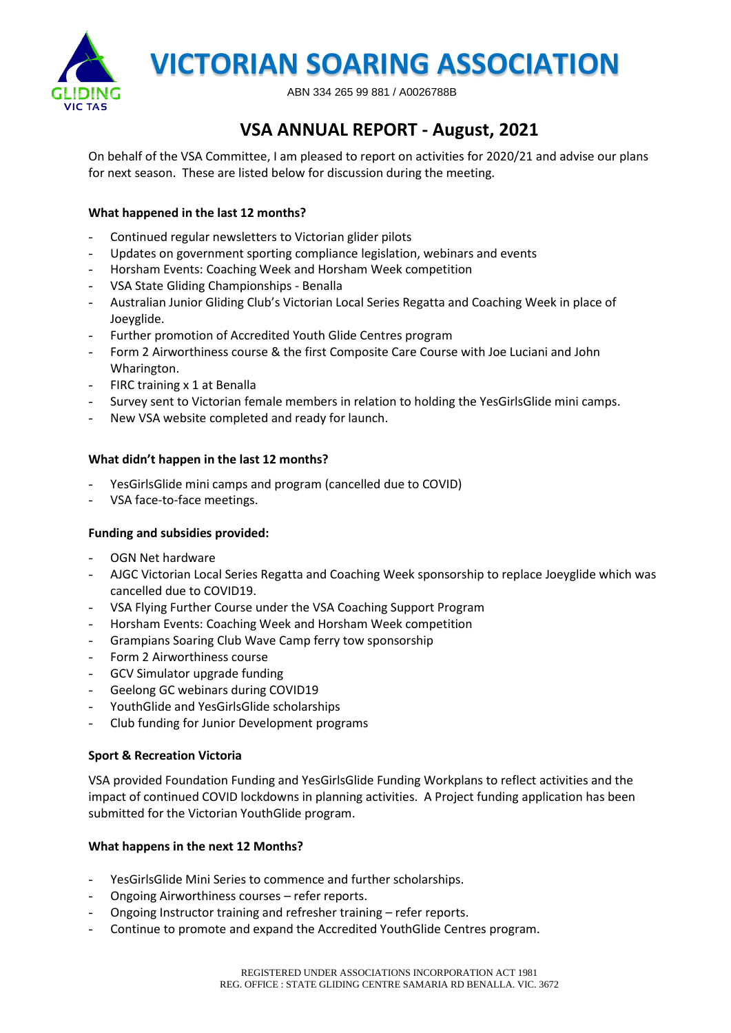

 **VICTORIAN SOARING ASSOCIATION**

ABN 334 265 99 881 / A0026788B

# **VSA ANNUAL REPORT - August, 2021**

On behalf of the VSA Committee, I am pleased to report on activities for 2020/21 and advise our plans for next season. These are listed below for discussion during the meeting.

### **What happened in the last 12 months?**

- Continued regular newsletters to Victorian glider pilots
- Updates on government sporting compliance legislation, webinars and events
- Horsham Events: Coaching Week and Horsham Week competition
- VSA State Gliding Championships Benalla
- Australian Junior Gliding Club's Victorian Local Series Regatta and Coaching Week in place of Joeyglide.
- Further promotion of Accredited Youth Glide Centres program
- Form 2 Airworthiness course & the first Composite Care Course with Joe Luciani and John Wharington.
- FIRC training x 1 at Benalla
- Survey sent to Victorian female members in relation to holding the YesGirlsGlide mini camps.
- New VSA website completed and ready for launch.

#### **What didn't happen in the last 12 months?**

- YesGirlsGlide mini camps and program (cancelled due to COVID)
- VSA face-to-face meetings.

#### **Funding and subsidies provided:**

- OGN Net hardware
- AJGC Victorian Local Series Regatta and Coaching Week sponsorship to replace Joeyglide which was cancelled due to COVID19.
- VSA Flying Further Course under the VSA Coaching Support Program
- Horsham Events: Coaching Week and Horsham Week competition
- Grampians Soaring Club Wave Camp ferry tow sponsorship
- Form 2 Airworthiness course
- GCV Simulator upgrade funding
- Geelong GC webinars during COVID19
- YouthGlide and YesGirlsGlide scholarships
- Club funding for Junior Development programs

#### **Sport & Recreation Victoria**

VSA provided Foundation Funding and YesGirlsGlide Funding Workplans to reflect activities and the impact of continued COVID lockdowns in planning activities. A Project funding application has been submitted for the Victorian YouthGlide program.

#### **What happens in the next 12 Months?**

- YesGirlsGlide Mini Series to commence and further scholarships.
- Ongoing Airworthiness courses refer reports.
- Ongoing Instructor training and refresher training refer reports.
- Continue to promote and expand the Accredited YouthGlide Centres program.